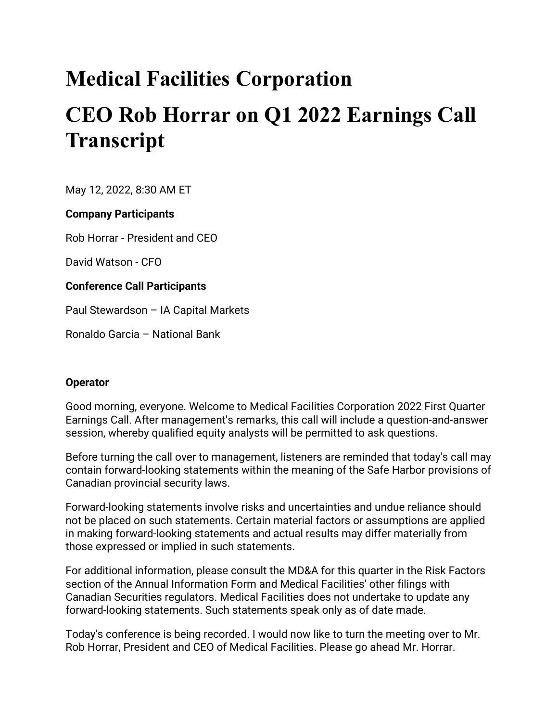# **Medical Facilities Corporation CEO Rob Horrar on Q1 2022 Earnings Call Transcript**

May 12, 2022, 8:30 AM ET

# **Company Participants**

Rob Horrar - President and CEO

David Watson - CFO

# **Conference Call Participants**

Paul Stewardson – IA Capital Markets

Ronaldo Garcia – National Bank

# **Operator**

Good morning, everyone. Welcome to Medical Facilities Corporation 2022 First Quarter Earnings Call. After management's remarks, this call will include a question-and-answer session, whereby qualified equity analysts will be permitted to ask questions.

Before turning the call over to management, listeners are reminded that today's call may contain forward-looking statements within the meaning of the Safe Harbor provisions of Canadian provincial security laws.

Forward-looking statements involve risks and uncertainties and undue reliance should not be placed on such statements. Certain material factors or assumptions are applied in making forward-looking statements and actual results may differ materially from those expressed or implied in such statements.

For additional information, please consult the MD&A for this quarter in the Risk Factors section of the Annual Information Form and Medical Facilities' other filings with Canadian Securities regulators. Medical Facilities does not undertake to update any forward-looking statements. Such statements speak only as of date made.

Today's conference is being recorded. I would now like to turn the meeting over to Mr. Rob Horrar, President and CEO of Medical Facilities. Please go ahead Mr. Horrar.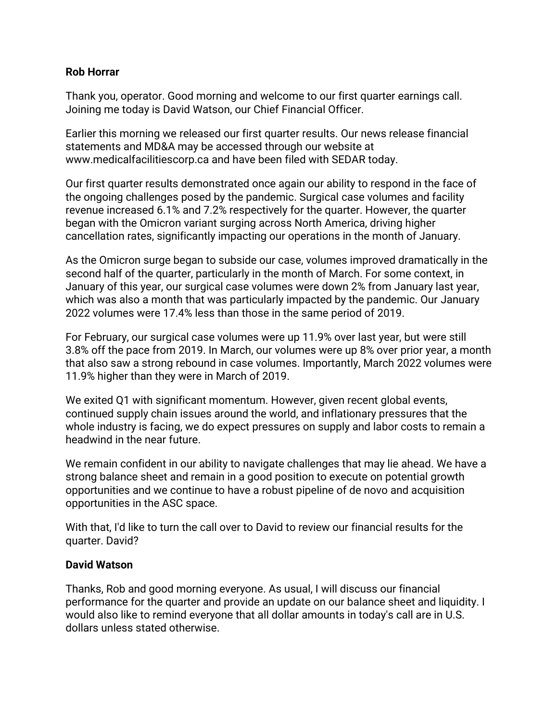## **Rob Horrar**

Thank you, operator. Good morning and welcome to our first quarter earnings call. Joining me today is David Watson, our Chief Financial Officer.

Earlier this morning we released our first quarter results. Our news release financial statements and MD&A may be accessed through our website at www.medicalfacilitiescorp.ca and have been filed with SEDAR today.

Our first quarter results demonstrated once again our ability to respond in the face of the ongoing challenges posed by the pandemic. Surgical case volumes and facility revenue increased 6.1% and 7.2% respectively for the quarter. However, the quarter began with the Omicron variant surging across North America, driving higher cancellation rates, significantly impacting our operations in the month of January.

As the Omicron surge began to subside our case, volumes improved dramatically in the second half of the quarter, particularly in the month of March. For some context, in January of this year, our surgical case volumes were down 2% from January last year, which was also a month that was particularly impacted by the pandemic. Our January 2022 volumes were 17.4% less than those in the same period of 2019.

For February, our surgical case volumes were up 11.9% over last year, but were still 3.8% off the pace from 2019. In March, our volumes were up 8% over prior year, a month that also saw a strong rebound in case volumes. Importantly, March 2022 volumes were 11.9% higher than they were in March of 2019.

We exited Q1 with significant momentum. However, given recent global events, continued supply chain issues around the world, and inflationary pressures that the whole industry is facing, we do expect pressures on supply and labor costs to remain a headwind in the near future.

We remain confident in our ability to navigate challenges that may lie ahead. We have a strong balance sheet and remain in a good position to execute on potential growth opportunities and we continue to have a robust pipeline of de novo and acquisition opportunities in the ASC space.

With that, I'd like to turn the call over to David to review our financial results for the quarter. David?

## **David Watson**

Thanks, Rob and good morning everyone. As usual, I will discuss our financial performance for the quarter and provide an update on our balance sheet and liquidity. I would also like to remind everyone that all dollar amounts in today's call are in U.S. dollars unless stated otherwise.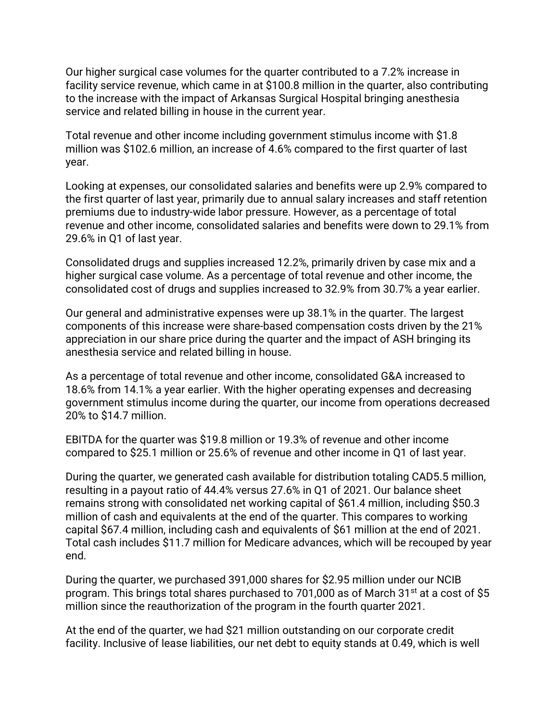Our higher surgical case volumes for the quarter contributed to a 7.2% increase in facility service revenue, which came in at \$100.8 million in the quarter, also contributing to the increase with the impact of Arkansas Surgical Hospital bringing anesthesia service and related billing in house in the current year.

Total revenue and other income including government stimulus income with \$1.8 million was \$102.6 million, an increase of 4.6% compared to the first quarter of last year.

Looking at expenses, our consolidated salaries and benefits were up 2.9% compared to the first quarter of last year, primarily due to annual salary increases and staff retention premiums due to industry-wide labor pressure. However, as a percentage of total revenue and other income, consolidated salaries and benefits were down to 29.1% from 29.6% in Q1 of last year.

Consolidated drugs and supplies increased 12.2%, primarily driven by case mix and a higher surgical case volume. As a percentage of total revenue and other income, the consolidated cost of drugs and supplies increased to 32.9% from 30.7% a year earlier.

Our general and administrative expenses were up 38.1% in the quarter. The largest components of this increase were share-based compensation costs driven by the 21% appreciation in our share price during the quarter and the impact of ASH bringing its anesthesia service and related billing in house.

As a percentage of total revenue and other income, consolidated G&A increased to 18.6% from 14.1% a year earlier. With the higher operating expenses and decreasing government stimulus income during the quarter, our income from operations decreased 20% to \$14.7 million.

EBITDA for the quarter was \$19.8 million or 19.3% of revenue and other income compared to \$25.1 million or 25.6% of revenue and other income in Q1 of last year.

During the quarter, we generated cash available for distribution totaling CAD5.5 million, resulting in a payout ratio of 44.4% versus 27.6% in Q1 of 2021. Our balance sheet remains strong with consolidated net working capital of \$61.4 million, including \$50.3 million of cash and equivalents at the end of the quarter. This compares to working capital \$67.4 million, including cash and equivalents of \$61 million at the end of 2021. Total cash includes \$11.7 million for Medicare advances, which will be recouped by year end.

During the quarter, we purchased 391,000 shares for \$2.95 million under our NCIB program. This brings total shares purchased to 701,000 as of March 31<sup>st</sup> at a cost of \$5 million since the reauthorization of the program in the fourth quarter 2021.

At the end of the quarter, we had \$21 million outstanding on our corporate credit facility. Inclusive of lease liabilities, our net debt to equity stands at 0.49, which is well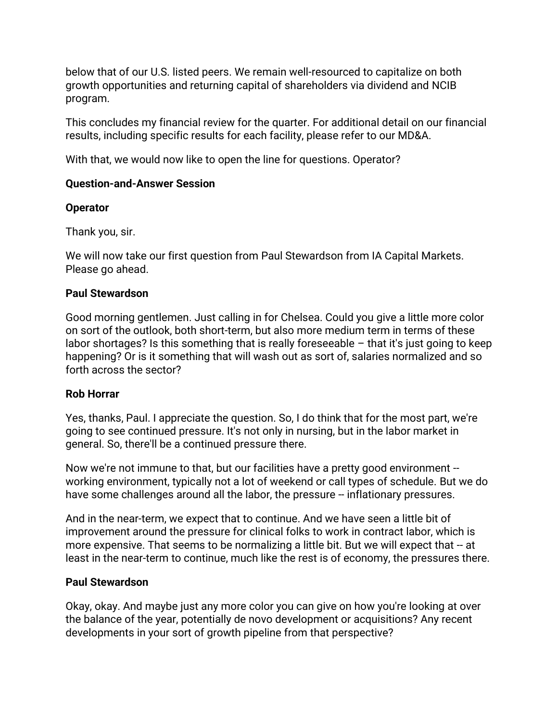below that of our U.S. listed peers. We remain well-resourced to capitalize on both growth opportunities and returning capital of shareholders via dividend and NCIB program.

This concludes my financial review for the quarter. For additional detail on our financial results, including specific results for each facility, please refer to our MD&A.

With that, we would now like to open the line for questions. Operator?

# **Question-and-Answer Session**

# **Operator**

Thank you, sir.

We will now take our first question from Paul Stewardson from IA Capital Markets. Please go ahead.

# **Paul Stewardson**

Good morning gentlemen. Just calling in for Chelsea. Could you give a little more color on sort of the outlook, both short-term, but also more medium term in terms of these labor shortages? Is this something that is really foreseeable  $-$  that it's just going to keep happening? Or is it something that will wash out as sort of, salaries normalized and so forth across the sector?

## **Rob Horrar**

Yes, thanks, Paul. I appreciate the question. So, I do think that for the most part, we're going to see continued pressure. It's not only in nursing, but in the labor market in general. So, there'll be a continued pressure there.

Now we're not immune to that, but our facilities have a pretty good environment -working environment, typically not a lot of weekend or call types of schedule. But we do have some challenges around all the labor, the pressure -- inflationary pressures.

And in the near-term, we expect that to continue. And we have seen a little bit of improvement around the pressure for clinical folks to work in contract labor, which is more expensive. That seems to be normalizing a little bit. But we will expect that -- at least in the near-term to continue, much like the rest is of economy, the pressures there.

## **Paul Stewardson**

Okay, okay. And maybe just any more color you can give on how you're looking at over the balance of the year, potentially de novo development or acquisitions? Any recent developments in your sort of growth pipeline from that perspective?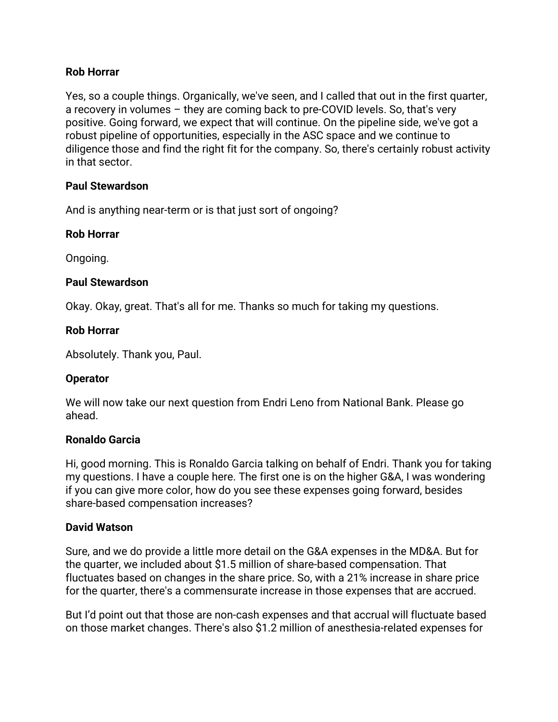## **Rob Horrar**

Yes, so a couple things. Organically, we've seen, and I called that out in the first quarter, a recovery in volumes – they are coming back to pre-COVID levels. So, that's very positive. Going forward, we expect that will continue. On the pipeline side, we've got a robust pipeline of opportunities, especially in the ASC space and we continue to diligence those and find the right fit for the company. So, there's certainly robust activity in that sector.

## **Paul Stewardson**

And is anything near-term or is that just sort of ongoing?

# **Rob Horrar**

Ongoing.

# **Paul Stewardson**

Okay. Okay, great. That's all for me. Thanks so much for taking my questions.

## **Rob Horrar**

Absolutely. Thank you, Paul.

# **Operator**

We will now take our next question from Endri Leno from National Bank. Please go ahead.

## **Ronaldo Garcia**

Hi, good morning. This is Ronaldo Garcia talking on behalf of Endri. Thank you for taking my questions. I have a couple here. The first one is on the higher G&A, I was wondering if you can give more color, how do you see these expenses going forward, besides share-based compensation increases?

## **David Watson**

Sure, and we do provide a little more detail on the G&A expenses in the MD&A. But for the quarter, we included about \$1.5 million of share-based compensation. That fluctuates based on changes in the share price. So, with a 21% increase in share price for the quarter, there's a commensurate increase in those expenses that are accrued.

But I'd point out that those are non-cash expenses and that accrual will fluctuate based on those market changes. There's also \$1.2 million of anesthesia-related expenses for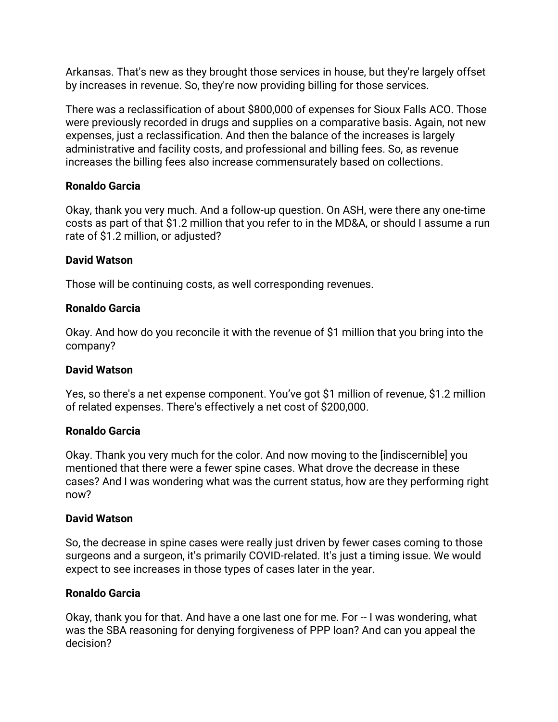Arkansas. That's new as they brought those services in house, but they're largely offset by increases in revenue. So, they're now providing billing for those services.

There was a reclassification of about \$800,000 of expenses for Sioux Falls ACO. Those were previously recorded in drugs and supplies on a comparative basis. Again, not new expenses, just a reclassification. And then the balance of the increases is largely administrative and facility costs, and professional and billing fees. So, as revenue increases the billing fees also increase commensurately based on collections.

# **Ronaldo Garcia**

Okay, thank you very much. And a follow-up question. On ASH, were there any one-time costs as part of that \$1.2 million that you refer to in the MD&A, or should I assume a run rate of \$1.2 million, or adjusted?

# **David Watson**

Those will be continuing costs, as well corresponding revenues.

# **Ronaldo Garcia**

Okay. And how do you reconcile it with the revenue of \$1 million that you bring into the company?

## **David Watson**

Yes, so there's a net expense component. You've got \$1 million of revenue, \$1.2 million of related expenses. There's effectively a net cost of \$200,000.

## **Ronaldo Garcia**

Okay. Thank you very much for the color. And now moving to the [indiscernible] you mentioned that there were a fewer spine cases. What drove the decrease in these cases? And I was wondering what was the current status, how are they performing right now?

## **David Watson**

So, the decrease in spine cases were really just driven by fewer cases coming to those surgeons and a surgeon, it's primarily COVID-related. It's just a timing issue. We would expect to see increases in those types of cases later in the year.

# **Ronaldo Garcia**

Okay, thank you for that. And have a one last one for me. For -- I was wondering, what was the SBA reasoning for denying forgiveness of PPP loan? And can you appeal the decision?